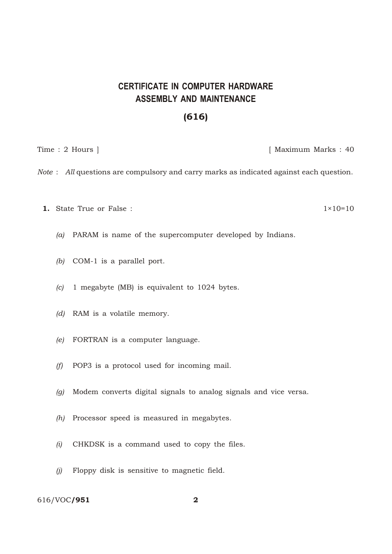## **CERTIFICATE IN COMPUTER HARDWARE ASSEMBLY AND MAINTENANCE**

## (616)

Time : 2 Hours ] [ Maximum Marks : 40

*Note* : *All* questions are compulsory and carry marks as indicated against each question.

1. State True or False :  $1 \times 10^{-10}$ 

*(a)* PARAM is name of the supercomputer developed by Indians.

- *(b)* COM-1 is a parallel port.
- *(c)* 1 megabyte (MB) is equivalent to 1024 bytes.
- *(d)* RAM is a volatile memory.
- *(e)* FORTRAN is a computer language.
- *(f)* POP3 is a protocol used for incoming mail.
- *(g)* Modem converts digital signals to analog signals and vice versa.
- *(h)* Processor speed is measured in megabytes.
- *(i)* CHKDSK is a command used to copy the files.
- *(j)* Floppy disk is sensitive to magnetic field.

616/VOC/951 2